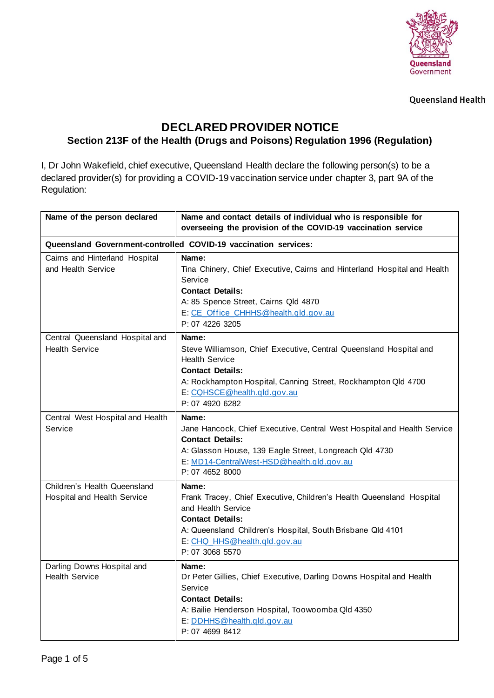

**Queensland Health** 

## **DECLARED PROVIDER NOTICE Section 213F of the Health (Drugs and Poisons) Regulation 1996 (Regulation)**

I, Dr John Wakefield, chief executive, Queensland Health declare the following person(s) to be a declared provider(s) for providing a COVID-19 vaccination service under chapter 3, part 9A of the Regulation:

| Name of the person declared                                     | Name and contact details of individual who is responsible for<br>overseeing the provision of the COVID-19 vaccination service                                                                                                                      |  |
|-----------------------------------------------------------------|----------------------------------------------------------------------------------------------------------------------------------------------------------------------------------------------------------------------------------------------------|--|
| Queensland Government-controlled COVID-19 vaccination services: |                                                                                                                                                                                                                                                    |  |
| Cairns and Hinterland Hospital<br>and Health Service            | Name:<br>Tina Chinery, Chief Executive, Cairns and Hinterland Hospital and Health<br>Service<br><b>Contact Details:</b><br>A: 85 Spence Street, Cairns Qld 4870<br>E: CE Office CHHHS@health.gld.gov.au<br>P: 07 4226 3205                         |  |
| Central Queensland Hospital and<br><b>Health Service</b>        | Name:<br>Steve Williamson, Chief Executive, Central Queensland Hospital and<br><b>Health Service</b><br><b>Contact Details:</b><br>A: Rockhampton Hospital, Canning Street, Rockhampton Qld 4700<br>E: CQHSCE@health.gld.gov.au<br>P: 07 4920 6282 |  |
| Central West Hospital and Health<br>Service                     | Name:<br>Jane Hancock, Chief Executive, Central West Hospital and Health Service<br><b>Contact Details:</b><br>A: Glasson House, 139 Eagle Street, Longreach Qld 4730<br>E: MD14-CentralWest-HSD@health.qld.gov.au<br>P: 07 4652 8000              |  |
| Children's Health Queensland<br>Hospital and Health Service     | Name:<br>Frank Tracey, Chief Executive, Children's Health Queensland Hospital<br>and Health Service<br><b>Contact Details:</b><br>A: Queensland Children's Hospital, South Brisbane Qld 4101<br>E: CHQ HHS@health.gld.gov.au<br>P: 07 3068 5570    |  |
| Darling Downs Hospital and<br><b>Health Service</b>             | Name:<br>Dr Peter Gillies, Chief Executive, Darling Downs Hospital and Health<br>Service<br><b>Contact Details:</b><br>A: Bailie Henderson Hospital, Toowoomba Qld 4350<br>E: DDHHS@health.gld.gov.au<br>P: 07 4699 8412                           |  |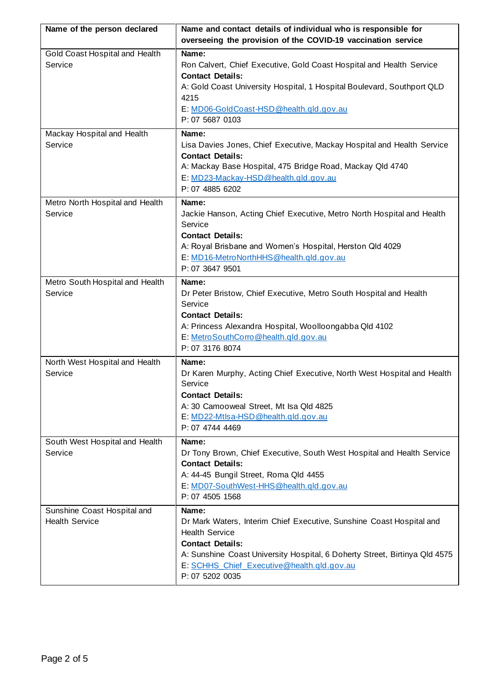| Name of the person declared                          | Name and contact details of individual who is responsible for                                                                                                                                                                                                                    |
|------------------------------------------------------|----------------------------------------------------------------------------------------------------------------------------------------------------------------------------------------------------------------------------------------------------------------------------------|
|                                                      | overseeing the provision of the COVID-19 vaccination service                                                                                                                                                                                                                     |
| Gold Coast Hospital and Health<br>Service            | Name:<br>Ron Calvert, Chief Executive, Gold Coast Hospital and Health Service<br><b>Contact Details:</b><br>A: Gold Coast University Hospital, 1 Hospital Boulevard, Southport QLD<br>4215<br>E: MD06-GoldCoast-HSD@health.qld.gov.au<br>P: 07 5687 0103                         |
| Mackay Hospital and Health                           | Name:                                                                                                                                                                                                                                                                            |
| Service                                              | Lisa Davies Jones, Chief Executive, Mackay Hospital and Health Service<br><b>Contact Details:</b><br>A: Mackay Base Hospital, 475 Bridge Road, Mackay Qld 4740<br>E: MD23-Mackay-HSD@health.qld.gov.au<br>P: 07 4885 6202                                                        |
| Metro North Hospital and Health<br>Service           | Name:<br>Jackie Hanson, Acting Chief Executive, Metro North Hospital and Health<br>Service<br><b>Contact Details:</b><br>A: Royal Brisbane and Women's Hospital, Herston Qld 4029<br>E: MD16-MetroNorthHHS@health.gld.gov.au<br>P: 07 3647 9501                                  |
| Metro South Hospital and Health<br>Service           | Name:<br>Dr Peter Bristow, Chief Executive, Metro South Hospital and Health<br>Service<br><b>Contact Details:</b><br>A: Princess Alexandra Hospital, Woolloongabba Qld 4102<br>E: MetroSouthCorro@health.gld.gov.au<br>P: 07 3176 8074                                           |
| North West Hospital and Health<br>Service            | Name:<br>Dr Karen Murphy, Acting Chief Executive, North West Hospital and Health<br>Service<br><b>Contact Details:</b><br>A: 30 Camooweal Street, Mt Isa Qld 4825<br>E: MD22-Mtlsa-HSD@health.gld.gov.au<br>P: 07 4744 4469                                                      |
| South West Hospital and Health<br>Service            | Name:<br>Dr Tony Brown, Chief Executive, South West Hospital and Health Service<br><b>Contact Details:</b><br>A: 44-45 Bungil Street, Roma Qld 4455<br>E: MD07-SouthWest-HHS@health.qld.gov.au<br>P: 07 4505 1568                                                                |
| Sunshine Coast Hospital and<br><b>Health Service</b> | Name:<br>Dr Mark Waters, Interim Chief Executive, Sunshine Coast Hospital and<br><b>Health Service</b><br><b>Contact Details:</b><br>A: Sunshine Coast University Hospital, 6 Doherty Street, Birtinya Qld 4575<br>E: SCHHS Chief Executive@health.qld.gov.au<br>P: 07 5202 0035 |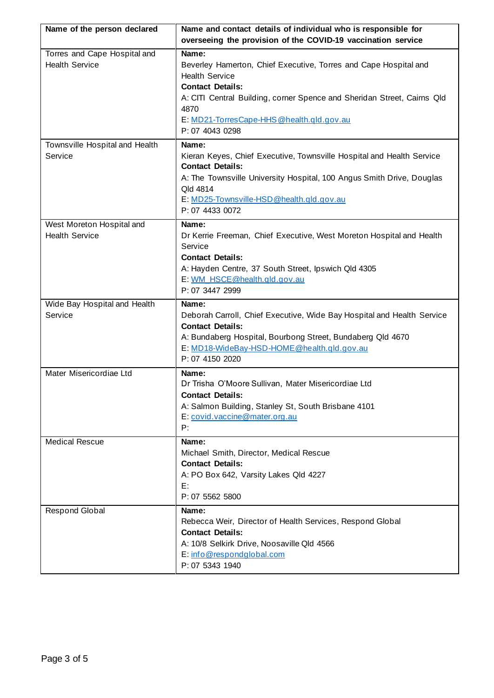| Name of the person declared               | Name and contact details of individual who is responsible for                                    |
|-------------------------------------------|--------------------------------------------------------------------------------------------------|
|                                           | overseeing the provision of the COVID-19 vaccination service                                     |
| Torres and Cape Hospital and              | Name:                                                                                            |
| <b>Health Service</b>                     | Beverley Hamerton, Chief Executive, Torres and Cape Hospital and                                 |
|                                           | <b>Health Service</b>                                                                            |
|                                           | <b>Contact Details:</b>                                                                          |
|                                           | A: CITI Central Building, corner Spence and Sheridan Street, Cairns Qld                          |
|                                           | 4870                                                                                             |
|                                           | E: MD21-TorresCape-HHS @health.qld.gov.au<br>P: 07 4043 0298                                     |
|                                           |                                                                                                  |
| Townsville Hospital and Health<br>Service | Name:                                                                                            |
|                                           | Kieran Keyes, Chief Executive, Townsville Hospital and Health Service<br><b>Contact Details:</b> |
|                                           | A: The Townsville University Hospital, 100 Angus Smith Drive, Douglas                            |
|                                           | Qld 4814                                                                                         |
|                                           | E: MD25-Townsville-HSD@health.gld.gov.au                                                         |
|                                           | P: 07 4433 0072                                                                                  |
| West Moreton Hospital and                 | Name:                                                                                            |
| <b>Health Service</b>                     | Dr Kerrie Freeman, Chief Executive, West Moreton Hospital and Health                             |
|                                           | Service                                                                                          |
|                                           | <b>Contact Details:</b>                                                                          |
|                                           | A: Hayden Centre, 37 South Street, Ipswich Qld 4305                                              |
|                                           | E: WM HSCE@health.gld.gov.au                                                                     |
|                                           | P: 07 3447 2999                                                                                  |
|                                           |                                                                                                  |
| Wide Bay Hospital and Health              | Name:                                                                                            |
| Service                                   | Deborah Carroll, Chief Executive, Wide Bay Hospital and Health Service                           |
|                                           | <b>Contact Details:</b>                                                                          |
|                                           | A: Bundaberg Hospital, Bourbong Street, Bundaberg Qld 4670                                       |
|                                           | E: MD18-WideBay-HSD-HOME@health.gld.gov.au                                                       |
|                                           | P: 07 4150 2020                                                                                  |
| Mater Misericordiae Ltd                   | Name:                                                                                            |
|                                           | Dr Trisha O'Moore Sullivan, Mater Misericordiae Ltd                                              |
|                                           | <b>Contact Details:</b><br>A: Salmon Building, Stanley St, South Brisbane 4101                   |
|                                           | E: covid.vaccine@mater.org.au                                                                    |
|                                           | P:                                                                                               |
| <b>Medical Rescue</b>                     | Name:                                                                                            |
|                                           | Michael Smith, Director, Medical Rescue                                                          |
|                                           | <b>Contact Details:</b>                                                                          |
|                                           | A: PO Box 642, Varsity Lakes Qld 4227                                                            |
|                                           | E:                                                                                               |
|                                           | P: 07 5562 5800                                                                                  |
| <b>Respond Global</b>                     | Name:                                                                                            |
|                                           | Rebecca Weir, Director of Health Services, Respond Global                                        |
|                                           | <b>Contact Details:</b>                                                                          |
|                                           | A: 10/8 Selkirk Drive, Noosaville Qld 4566                                                       |
|                                           | E: info@respondglobal.com<br>P: 07 5343 1940                                                     |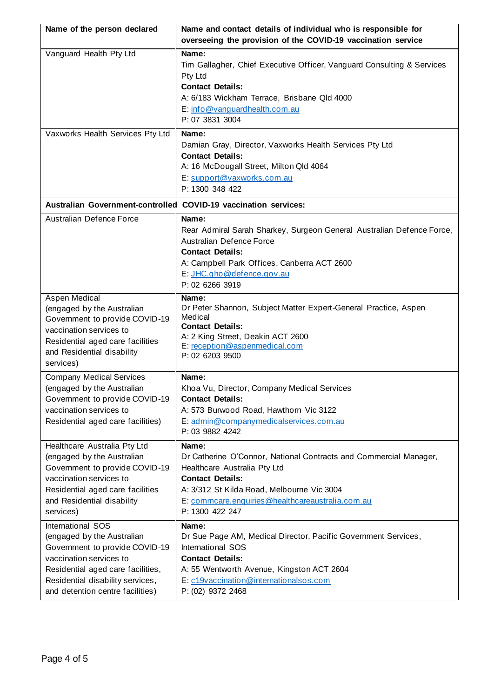| Name of the person declared                                                                                                                                                                                               | Name and contact details of individual who is responsible for                                                                                                                                                                                              |
|---------------------------------------------------------------------------------------------------------------------------------------------------------------------------------------------------------------------------|------------------------------------------------------------------------------------------------------------------------------------------------------------------------------------------------------------------------------------------------------------|
|                                                                                                                                                                                                                           | overseeing the provision of the COVID-19 vaccination service                                                                                                                                                                                               |
| Vanguard Health Pty Ltd                                                                                                                                                                                                   | Name:<br>Tim Gallagher, Chief Executive Officer, Vanguard Consulting & Services<br>Pty Ltd<br><b>Contact Details:</b><br>A: 6/183 Wickham Terrace, Brisbane Qld 4000<br>E: info@vanguardhealth.com.au<br>P: 07 3831 3004                                   |
| Vaxworks Health Services Pty Ltd                                                                                                                                                                                          | Name:<br>Damian Gray, Director, Vaxworks Health Services Pty Ltd<br><b>Contact Details:</b><br>A: 16 McDougall Street, Milton Qld 4064<br>E: support@vaxworks.com.au<br>P: 1300 348 422                                                                    |
| Australian Government-controlled COVID-19 vaccination services:                                                                                                                                                           |                                                                                                                                                                                                                                                            |
| Australian Defence Force                                                                                                                                                                                                  | Name:<br>Rear Admiral Sarah Sharkey, Surgeon General Australian Defence Force,<br>Australian Defence Force<br><b>Contact Details:</b><br>A: Campbell Park Offices, Canberra ACT 2600<br>E: JHC.gho@defence.gov.au<br>P: 02 6266 3919                       |
| Aspen Medical<br>(engaged by the Australian<br>Government to provide COVID-19<br>vaccination services to<br>Residential aged care facilities<br>and Residential disability<br>services)                                   | Name:<br>Dr Peter Shannon, Subject Matter Expert-General Practice, Aspen<br>Medical<br><b>Contact Details:</b><br>A: 2 King Street, Deakin ACT 2600<br>E: reception@aspenmedical.com<br>P: 02 6203 9500                                                    |
| <b>Company Medical Services</b><br>(engaged by the Australian<br>Government to provide COVID-19<br>vaccination services to<br>Residential aged care facilities)                                                           | Name:<br>Khoa Vu, Director, Company Medical Services<br><b>Contact Details:</b><br>A: 573 Burwood Road, Hawthorn Vic 3122<br>E: admin@companymedicalservices.com.au<br>P: 03 9882 4242                                                                     |
| Healthcare Australia Pty Ltd<br>(engaged by the Australian<br>Government to provide COVID-19<br>vaccination services to<br>Residential aged care facilities<br>and Residential disability<br>services)                    | Name:<br>Dr Catherine O'Connor, National Contracts and Commercial Manager,<br>Healthcare Australia Pty Ltd<br><b>Contact Details:</b><br>A: 3/312 St Kilda Road, Melbourne Vic 3004<br>E: commcare.enquiries@healthcareaustralia.com.au<br>P: 1300 422 247 |
| International SOS<br>(engaged by the Australian<br>Government to provide COVID-19<br>vaccination services to<br>Residential aged care facilities,<br>Residential disability services,<br>and detention centre facilities) | Name:<br>Dr Sue Page AM, Medical Director, Pacific Government Services,<br>International SOS<br><b>Contact Details:</b><br>A: 55 Wentworth Avenue, Kingston ACT 2604<br>E: c19vaccination@internationalsos.com<br>P: (02) 9372 2468                        |